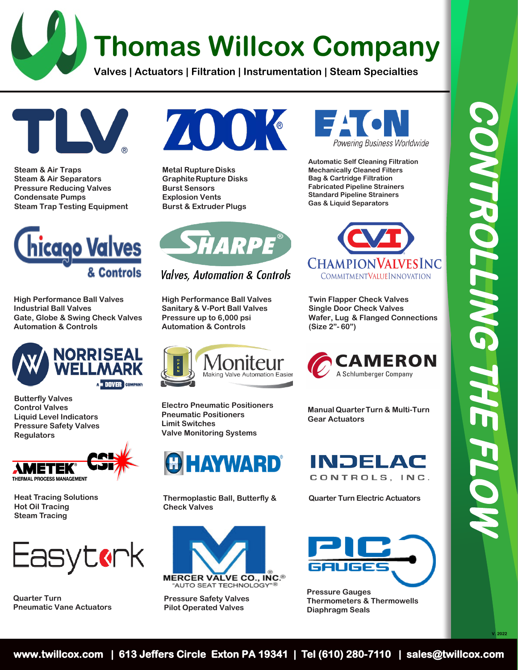## **Thomas Willcox Company**

**Valves | Actuators | Filtration | Instrumentation | Steam Specialties**



**Steam & Air Traps Steam & Air Separators Pressure Reducing Valves Condensate Pumps Steam Trap Testing Equipment**



**High Performance Ball Valves Industrial Ball Valves Gate, Globe & Swing Check Valves Automation & Controls**



**Butterfly Valves Control Valves Liquid Level Indicators Pressure Safety Valves Regulators**



**Heat Tracing Solutions Hot Oil Tracing Steam Tracing**



**Quarter Turn Pneumatic Vane Actuators**



**Metal Rupture Disks Graphite Rupture Disks Burst Sensors Explosion Vents Burst & Extruder Plugs**



**Valves, Automation & Controls** 

**High Performance Ball Valves Sanitary & V-Port Ball Valves Pressure up to 6,000 psi Automation & Controls**



**Electro Pneumatic Positioners Pneumatic Positioners Limit Switches Valve Monitoring Systems**



**Thermoplastic Ball, Butterfly & Quarter Turn Electric Actuators Check Valves**



**Pressure Safety Valves Pilot Operated Valves**



**Automatic Self Cleaning Filtration Mechanically Cleaned Filters Bag & Cartridge Filtration Fabricated Pipeline Strainers Standard Pipeline Strainers Gas & Liquid Separators**



**Twin Flapper Check Valves Single Door Check Valves Wafer, Lug & Flanged Connections (Size 2"- 60")**



**Manual Quarter Turn & Multi-Turn Gear Actuators**





**Pressure Gauges Thermometers & Thermowells Diaphragm Seals**

**V. 2022**